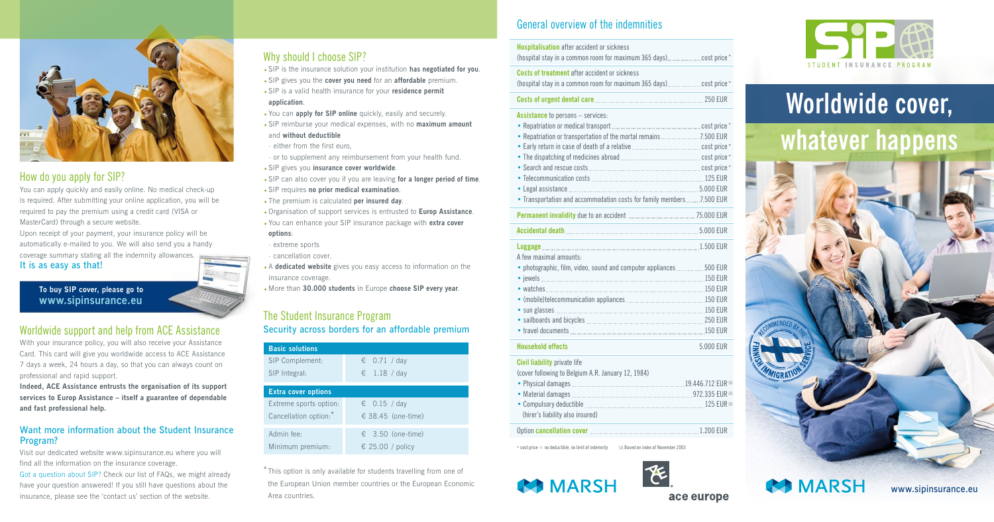### General overview of the indemnities

| <b>Hospitalisation</b> after accident or sickness                                                                             |           |  |
|-------------------------------------------------------------------------------------------------------------------------------|-----------|--|
| <b>Costs of treatment after accident or sickness</b>                                                                          |           |  |
|                                                                                                                               |           |  |
| <b>Assistance</b> to persons - services:<br>. Transportation and accommodation costs for family members7.500 EUR              |           |  |
|                                                                                                                               |           |  |
|                                                                                                                               |           |  |
| Luggage 2000 EUR<br>A few maximal amounts:<br>· photographic, film, video, sound and computer appliances 500 EUR              |           |  |
| <b>Household effects</b>                                                                                                      | 5.000 EUR |  |
| <b>Civil liability private life</b><br>(cover following to Belgium A.R. January 12, 1984)<br>(hirer's liability also insured) |           |  |
|                                                                                                                               |           |  |
| * cost price = no deductible, no limit of indemnity (1) Based on index of November 2003                                       |           |  |











### How do you apply for SIP?

You can apply quickly and easily online. No medical check-up is required. After submitting your online application, you will be required to pay the premium using a credit card (VISA or MasterCard) through a secure website.

Upon receipt of your payment, your insurance policy will be automatically e-mailed to you. We will also send you a handy coverage summary stating all the indemnity allowances. It is as easy as that!

**To buy SIP cover, please go to www.sipinsurance.eu**

### Worldwide support and help from ACE Assistance

With your insurance policy, you will also receive your Assistance Card. This card will give you worldwide access to ACE Assistance 7 days a week, 24 hours a day, so that you can always count on professional and rapid support.

**Indeed, ACE Assistance entrusts the organisation of its support services to Europ Assistance – itself a guarantee of dependable and fast professional help.** 

### Want more information about the Student Insurance Program?

Visit our dedicated website www.sipinsurance.eu where you will find all the information on the insurance coverage.

Got a question about SIP? Check our list of FAQs, we might already have your question answered! If you still have questions about the insurance, please see the 'contact us' section of the website.

### Why should I choose SIP?

- SIP is the insurance solution your institution **has negotiated for you**.
- SIP gives you the **cover you need** for an **affordable** premium.
- SIP is a valid health insurance for your **residence permit application**.
- You can **apply for SIP online** quickly, easily and securely.
- SIP reimburse your medical expenses, with no **maximum amount** and **without deductible**
- either from the first euro,
- or to supplement any reimbursement from your health fund.
- SIP gives you **insurance cover worldwide**.
- SIP can also cover you if you are leaving **for a longer period of time**.
- SIP requires **no prior medical examination**.
- The premium is calculated **per insured day**.
- •Organisation of support services is entrusted to **Europ Assistance**.
- You can enhance your SIP insurance package with **extra cover options**:
- extreme sports
- cancellation cover.
- A **dedicated website** gives you easy access to information on the insurance coverage.
- More than **30.000 students** in Europe **choose SIP every year**.

### The Student Insurance Program Security across borders for an affordable premium

| <b>Basic solutions</b>     |                            |  |
|----------------------------|----------------------------|--|
| SIP Complement:            | € 0.71 / day               |  |
| SIP Integral:              | € 1.18 / day               |  |
| <b>Extra cover options</b> |                            |  |
| Extreme sports option:     | € $0.15 / day$             |  |
| Cancellation option:*      | € 38.45 (one-time)         |  |
| Admin fee:                 | $\epsilon$ 3.50 (one-time) |  |
| Minimum premium:           | € 25.00 / policy           |  |

\* This option is only available for students travelling from one of the European Union member countries or the European Economic Area countries.

### **Worldwide cover, whatever happens**



www.sipinsurance.eu